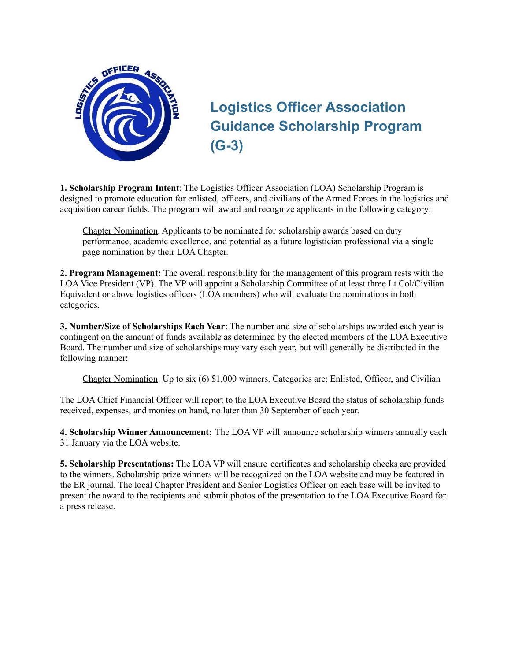

# **Logistics Officer Association Guidance Scholarship Program (G-3)**

**1. Scholarship Program Intent**: The Logistics Officer Association (LOA) Scholarship Program is designed to promote education for enlisted, officers, and civilians of the Armed Forces in the logistics and acquisition career fields. The program will award and recognize applicants in the following category:

Chapter Nomination. Applicants to be nominated for scholarship awards based on duty performance, academic excellence, and potential as a future logistician professional via a single page nomination by their LOA Chapter.

**2. Program Management:** The overall responsibility for the management of this program rests with the LOA Vice President (VP). The VP will appoint a Scholarship Committee of at least three Lt Col/Civilian Equivalent or above logistics officers (LOA members) who will evaluate the nominations in both categories.

**3. Number/Size of Scholarships Each Year**: The number and size of scholarships awarded each year is contingent on the amount of funds available as determined by the elected members of the LOA Executive Board. The number and size of scholarships may vary each year, but will generally be distributed in the following manner:

Chapter Nomination: Up to six (6) \$1,000 winners. Categories are: Enlisted, Officer, and Civilian

The LOA Chief Financial Officer will report to the LOA Executive Board the status of scholarship funds received, expenses, and monies on hand, no later than 30 September of each year.

**4. Scholarship Winner Announcement:** The LOA VP will announce scholarship winners annually each 31 January via the LOA website.

**5. Scholarship Presentations:** The LOA VP will ensure certificates and scholarship checks are provided to the winners. Scholarship prize winners will be recognized on the LOA website and may be featured in the ER journal. The local Chapter President and Senior Logistics Officer on each base will be invited to present the award to the recipients and submit photos of the presentation to the LOA Executive Board for a press release.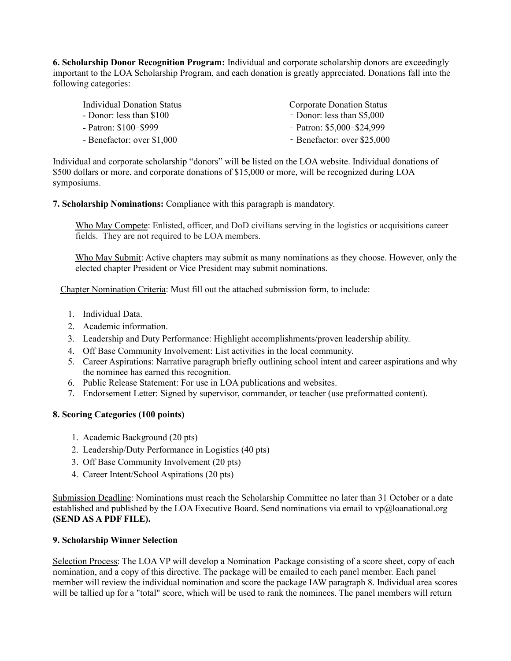**6. Scholarship Donor Recognition Program:** Individual and corporate scholarship donors are exceedingly important to the LOA Scholarship Program, and each donation is greatly appreciated. Donations fall into the following categories:

| Individual Donation Status<br>- Donor: less than \$100 | <b>Corporate Donation Status</b><br>- Donor: less than \$5,000 |
|--------------------------------------------------------|----------------------------------------------------------------|
| - Patron: \$100-\$999                                  | - Patron: $$5,000-S24,999$                                     |
| - Benefactor: over \$1,000                             | - Benefactor: over \$25,000                                    |

Individual and corporate scholarship "donors" will be listed on the LOA website. Individual donations of \$500 dollars or more, and corporate donations of \$15,000 or more, will be recognized during LOA symposiums.

**7. Scholarship Nominations:** Compliance with this paragraph is mandatory.

Who May Compete: Enlisted, officer, and DoD civilians serving in the logistics or acquisitions career fields. They are not required to be LOA members.

Who May Submit: Active chapters may submit as many nominations as they choose. However, only the elected chapter President or Vice President may submit nominations.

Chapter Nomination Criteria: Must fill out the attached submission form, to include:

- 1. Individual Data.
- 2. Academic information.
- 3. Leadership and Duty Performance: Highlight accomplishments/proven leadership ability.
- 4. Off Base Community Involvement: List activities in the local community.
- 5. Career Aspirations: Narrative paragraph briefly outlining school intent and career aspirations and why the nominee has earned this recognition.
- 6. Public Release Statement: For use in LOA publications and websites.
- 7. Endorsement Letter: Signed by supervisor, commander, or teacher (use preformatted content).

#### **8. Scoring Categories (100 points)**

- 1. Academic Background (20 pts)
- 2. Leadership/Duty Performance in Logistics (40 pts)
- 3. Off Base Community Involvement (20 pts)
- 4. Career Intent/School Aspirations (20 pts)

Submission Deadline: Nominations must reach the Scholarship Committee no later than 31 October or a date established and published by the LOA Executive Board. Send nominations via email to vp@loanational.org **(SEND AS A PDF FILE).**

#### **9. Scholarship Winner Selection**

Selection Process: The LOA VP will develop a Nomination Package consisting of a score sheet, copy of each nomination, and a copy of this directive. The package will be emailed to each panel member. Each panel member will review the individual nomination and score the package IAW paragraph 8. Individual area scores will be tallied up for a "total" score, which will be used to rank the nominees. The panel members will return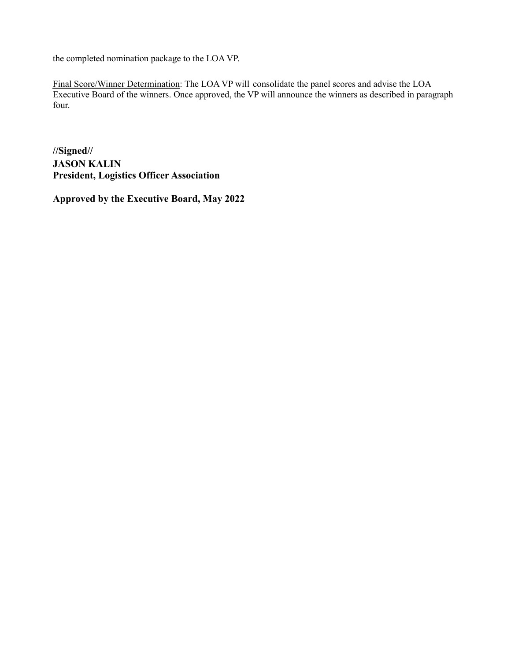the completed nomination package to the LOA VP.

Final Score/Winner Determination: The LOA VP will consolidate the panel scores and advise the LOA Executive Board of the winners. Once approved, the VP will announce the winners as described in paragraph four.

**//Signed// JASON KALIN President, Logistics Officer Association**

**Approved by the Executive Board, May 2022**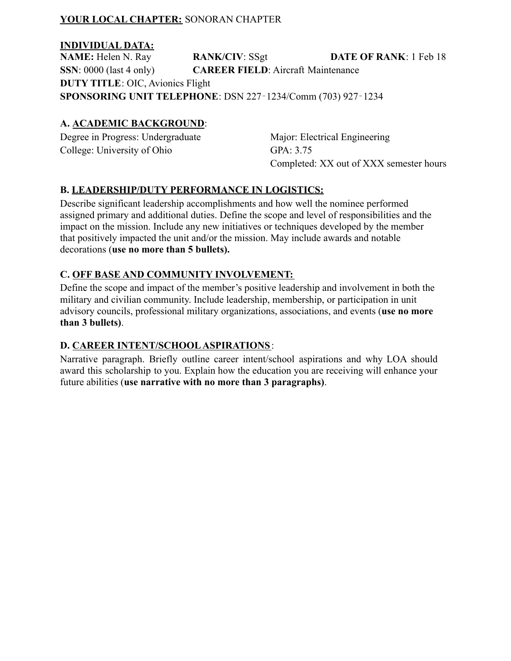#### **YOUR LOCAL CHAPTER:** SONORAN CHAPTER

#### **INDIVIDUAL DATA:**

**NAME:** Helen N. Ray **RANK/CIV**: SSgt **DATE OF RANK**: 1 Feb 18 **SSN**: 0000 (last 4 only) **CAREER FIELD**: Aircraft Maintenance **DUTY TITLE**: OIC, Avionics Flight **SPONSORING UNIT TELEPHONE**: DSN 227‐1234/Comm (703) 927‐1234

### **A. ACADEMIC BACKGROUND**:

Degree in Progress: Undergraduate College: University of Ohio

Major: Electrical Engineering GPA: 3.75 Completed: XX out of XXX semester hours

## **B. LEADERSHIP/DUTY PERFORMANCE IN LOGISTICS:**

Describe significant leadership accomplishments and how well the nominee performed assigned primary and additional duties. Define the scope and level of responsibilities and the impact on the mission. Include any new initiatives or techniques developed by the member that positively impacted the unit and/or the mission. May include awards and notable decorations (**use no more than 5 bullets).**

#### **C. OFF BASE AND COMMUNITY INVOLVEMENT:**

Define the scope and impact of the member's positive leadership and involvement in both the military and civilian community. Include leadership, membership, or participation in unit advisory councils, professional military organizations, associations, and events (**use no more than 3 bullets)**.

## **D. CAREER INTENT/SCHOOL ASPIRATIONS**:

Narrative paragraph. Briefly outline career intent/school aspirations and why LOA should award this scholarship to you. Explain how the education you are receiving will enhance your future abilities (**use narrative with no more than 3 paragraphs)**.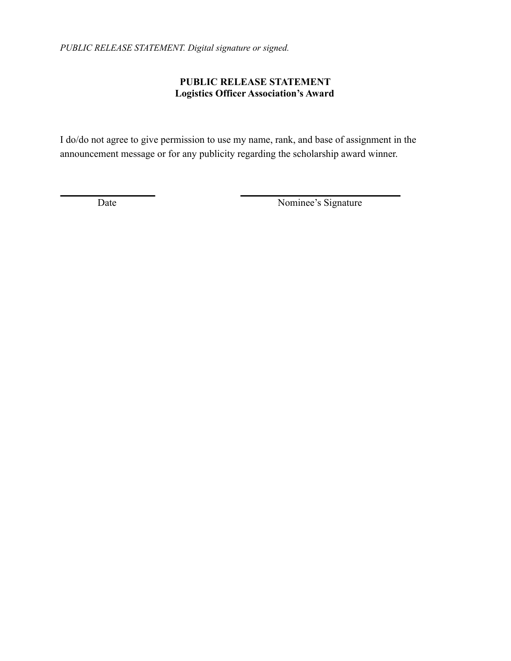*PUBLIC RELEASE STATEMENT. Digital signature or signed.*

# **PUBLIC RELEASE STATEMENT Logistics Officer Association's Award**

I do/do not agree to give permission to use my name, rank, and base of assignment in the announcement message or for any publicity regarding the scholarship award winner.

Date Nominee's Signature